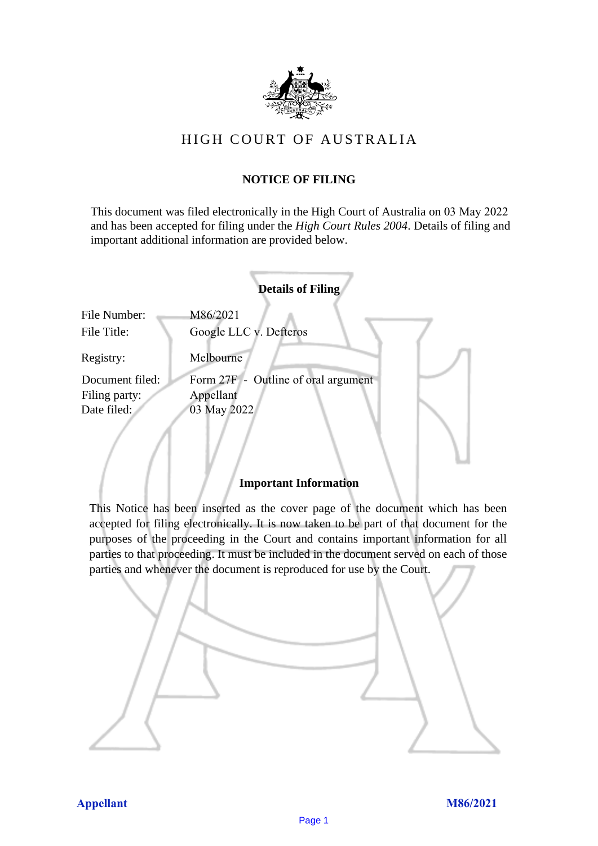

# HIGH COURT OF AU STRALIA HIGH COURT OF AUSTRALIA

## **NOTICE OF FILING** NOTICE OF FILING

This document was filed electronically in the High Court of Australia on 03 May 2022 and has been accepted for filing under the *High Court Rules 2004*. Details of filing and important additional information are provided below. important additional information are provided below.

|                             | <b>Details of Filing</b>            |
|-----------------------------|-------------------------------------|
| File Number:<br>File Title: | M86/2021<br>Google LLC v. Defteros  |
| Registry:                   | Melbourne                           |
| Document filed:             | Form 27F - Outline of oral argument |
| Filing party:               | Appellant                           |
| Date filed:                 | 03 May 2022                         |
|                             |                                     |

## **Important Information** Important Information

This Notice has been inserted as the cover page of the document which has been accepted for filing electronically. It is now taken to be part of that document for the purposes of the proceeding in the Court and contains important information for all parties to that proceeding. It must be included in the document served on each of those parties and whenever the document is reproduced for use by the Court. parties and whenever the document is reproduced for use by the Court

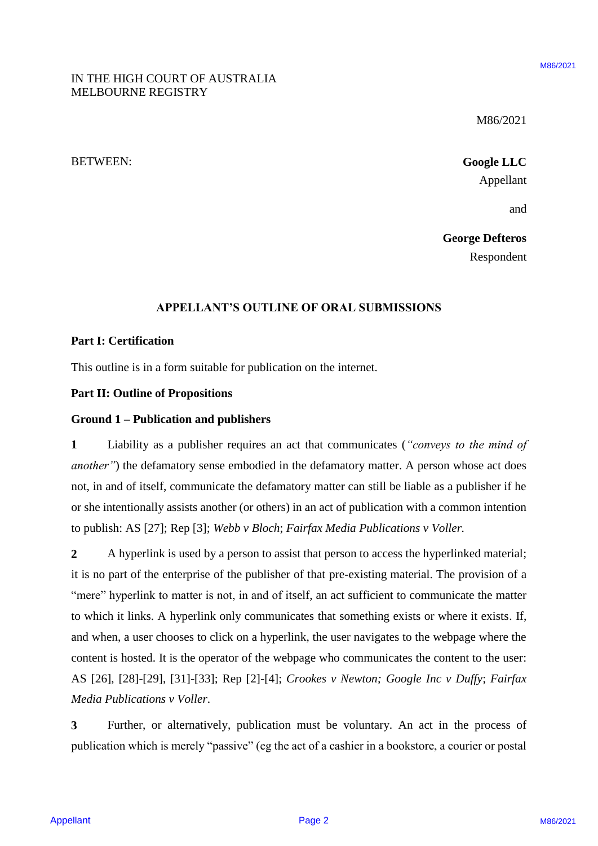M86/2021 M86/2021

BETWEEN: **Google LLC** BETWEEN: Google LLC Appellant Appellant

and and

**George Defteros** George Defteros Respondent Respondent

#### **APPELLANT'S OUTLINE OF ORAL SUBMISSIONS** APPELLANT'S OUTLINE OF ORAL SUBMISSIONS

## **Part I: Certification** Part I: Certification

This outline is in a form suitable for publication on the internet. This outline is in <sup>a</sup> form suitable for publication on the internet.

## **Part II: Outline of Propositions** Part II: Outline of Propositions

### **Ground 1 – Publication and publishers** Ground <sup>1</sup> — Publication and publishers

**1** Liability as a publisher requires an act that communicates (*"conveys to the mind of*  <sup>1</sup> Liability as <sup>a</sup> publisher requires an act that communicates ("conveys to the mind of another") the defamatory sense embodied in the defamatory matter. A person whose act does not, in and of itself, communicate the defamatory matter can still be liable as a publisher if he not, in and of itself, communicate the defamatory matter can still be liable as <sup>a</sup> publisher if he or she intentionally assists another (or others) in an act of publication with a common intention or she intentionally assists another (or others) in an act of publication with <sup>a</sup> common intention to publish: AS [27]; Rep [3]; *Webb v Bloch*; *Fairfax Media Publications v Voller.* to publish: AS [27]; Rep [3]; Webb v Bloch; Fairfax Media Publications v Voller.

2 A hyperlink is used by a person to assist that person to access the hyperlinked material; it is no part of the enterprise of the publisher of that pre-existing material. The provision of a it is no part of the enterprise of the publisher of that pre-existing material. The provision of <sup>a</sup> "mere" hyperlink to matter is not, in and of itself, an act sufficient to communicate the matter to which it links. A hyperlink only communicates that something exists or where it exists. If, to which it links. A hyperlink only communicates that something exists or where it exists. If, and when, a user chooses to click on a hyperlink, the user navigates to the webpage where the and when, <sup>a</sup> user chooses to click on <sup>a</sup> hyperlink, the user navigates to the webpage where the content is hosted. It is the operator of the webpage who communicates the content to the user: AS [26], [28]-[29], [31]-[33]; Rep [2]-[4]; *Crookes v Newton; Google Inc v Duffy*; *Fairfax*  AS [26], [28]-[29], [31]-[33]; Rep [2]-[4]; Crookes v Newton; Google Inc v Duffy; Fairfax *Media Publications v Voller*. Media Publications v Voller. **INTHE HIGH COURT OF AUSTRALIA**<br>
MELBOURNE REGISTRY<br> **APPELITATIVE CONTO AUSTRALIA**<br> **APPELITATIVE CONSULS ASSESS (SECULATIVE CONSULS)**<br> **APPELITATIVE CONSULS ASSESS (SECULATIVE CONSULS)**<br> **APPELITATIVE CONSULS ASSESS (SE** 

**3** Further, or alternatively, publication must be voluntary. An act in the process of 3 Further, or alternatively, publication must be voluntary. An act in the process of publication which is merely "passive" (eg the act of a cashier in a bookstore, a courier or postal publication which is merely "passive" (eg the act of a cashier in a bookstore, a courier or postal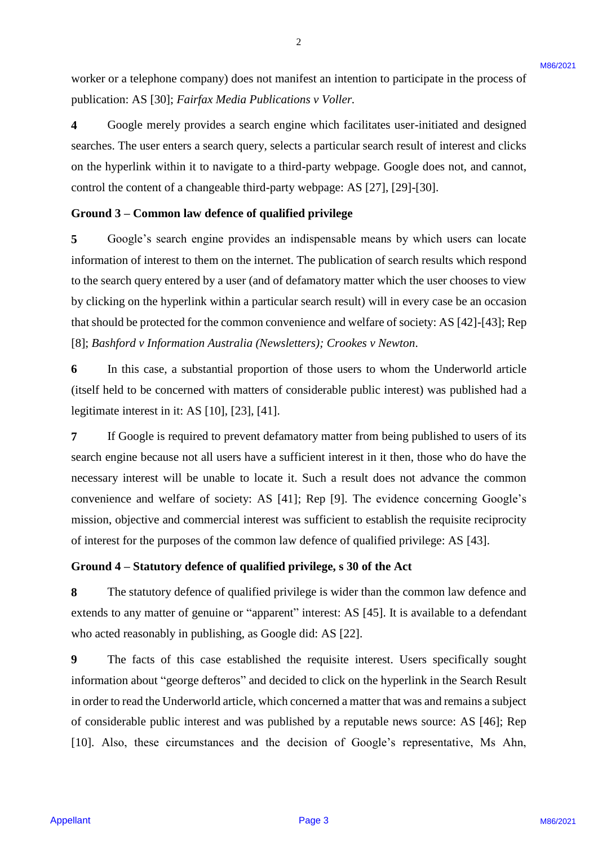worker or a telephone company) does not manifest an intention to participate in the process of worker or <sup>a</sup> telephone company) does not manifest an intention to participate in the process of publication: AS [30]; *Fairfax Media Publications v Voller.* publication: AS [30]; Fairfax Media Publications v Voller.

**4** Google merely provides a search engine which facilitates user-initiated and designed 4 Google merely provides a search engine which facilitates user-initiated and designed searches. The user enters a search query, selects a particular search result of interest and clicks searches. The user enters <sup>a</sup> search query, selects <sup>a</sup> particular search result of interest and clicks on the hyperlink within it to navigate to a third-party webpage. Google does not, and cannot, on the hyperlink within it to navigate to <sup>a</sup> third-party webpage. Google does not, and cannot, control the content of a changeable third-party webpage: AS [27], [29]-[30]. control the content of <sup>a</sup> changeable third-party webpage: AS [27], [29]-[30].

#### **Ground 3 – Common law defence of qualified privilege** Ground 3 — Common law defence of qualified privilege

**5** Google's search engine provides an indispensable means by which users can locate 5Google's search engine provides an indispensable means by which users can locate information of interest to them on the internet. The publication of search results which respond information of interest to them on the internet. The publication of search results which respond to the search query entered by a user (and of defamatory matter which the user chooses to view to the search query entered by a user (and of defamatory matter which the user chooses to view by clicking on the hyperlink within a particular search result) will in every case be an occasion by clicking on the hyperlink within a particular search result) will in every case be an occasion that should be protected for the common convenience and welfare of society: AS [42]-[43]; Rep that should be protected for the common convenience and welfare of society: AS [42]-[43]; Rep [8]; *Bashford v Information Australia (Newsletters); Crookes v Newton*. [8]; Bashford v Information Australia (Newsletters); Crookes v Newton. worker or a telephora company) does not manifest an intension to participate in the process of<br>
4 in Google tenchy angles, a firedale Publicusium, Y violier.<br>
4 in Google tenchy provides a search empire which are interest

**6** In this case, a substantial proportion of those users to whom the Underworld article (itself held to be concerned with matters of considerable public interest) was published had a (itself held to be concerned with matters of considerable public interest) was published had <sup>a</sup> legitimate interest in it: AS [10], [23], [41]. legitimate interest in it: AS [10], [23], [41].

**7** If Google is required to prevent defamatory matter from being published to users of its search engine because not all users have a sufficient interest in it then, those who do have the search engine because not all users have <sup>a</sup> sufficient interest in it then, those who do have the necessary interest will be unable to locate it. Such a result does not advance the common necessary interest will be unable to locate it. Such a result does not advance the common convenience and welfare of society: AS [41]; Rep [9]. The evidence concerning Google's convenience and welfare of society: AS [41]; Rep [9]. The evidence concerning Google's mission, objective and commercial interest was sufficient to establish the requisite reciprocity mission, objective and commercial interest was sufficient to establish the requisite reciprocity of interest for the purposes of the common law defence of qualified privilege: AS [43]. of interest for the purposes of the common law defence of qualified privilege: AS [43].

#### **Ground 4 – Statutory defence of qualified privilege, s 30 of the Act** Ground 4 —Statutory defence of qualified privilege, <sup>s</sup> 30 of the Act

**8** The statutory defence of qualified privilege is wider than the common law defence and extends to any matter of genuine or "apparent" interest: AS [45]. It is available to a defendant who acted reasonably in publishing, as Google did: AS [22]. who acted reasonably in publishing, as Google did: AS [22].

**9** The facts of this case established the requisite interest. Users specifically sought 9 The facts of this case established the requisite interest. Users specifically sought information about "george defteros" and decided to click on the hyperlink in the Search Result information about "george defteros" and decided to click on the hyperlink in the Search Result in order to read the Underworld article, which concerned a matter that was and remains a subject in order to read the Underworld article, which concerned amatter that was and remains a subject of considerable public interest and was published by a reputable news source: AS [46]; Rep [10]. Also, these circumstances and the decision of Google's representative, Ms Ahn, [10]. Also, these circumstances and the decision of Google's representative, Ms Ahn,